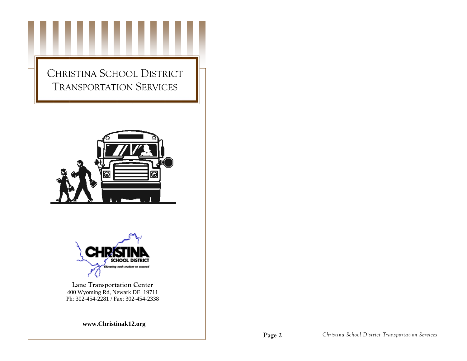





**Lane Transportation Center**  400 Wyoming Rd, Newark DE 19711 Ph: 302-454-2281 / Fax: 302-454-2338

**www.Christinak12.org**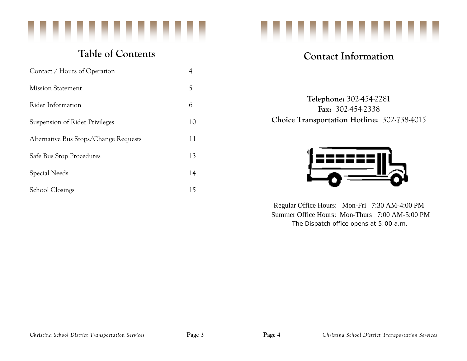

# **Table of Contents**

| Contact / Hours of Operation          | 4  |
|---------------------------------------|----|
| <b>Mission Statement</b>              | 5  |
| Rider Information                     | 6  |
| Suspension of Rider Privileges        | 10 |
| Alternative Bus Stops/Change Requests | 11 |
| Safe Bus Stop Procedures              | 13 |
| Special Needs                         | 14 |
| <b>School Closings</b>                | 15 |



# **Contact Information**

**Telephone:** 302-454-2281 **Fax:** 302-454-2338 **Choice Transportation Hotline:** 302-738-4015



Regular Office Hours: Mon-Fri 7:30 AM-4:00 PM Summer Office Hours: Mon-Thurs 7:00 AM-5:00 PM  *The Dispatch office opens at 5:00 a.m.*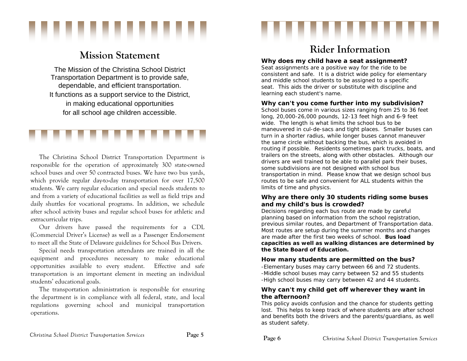

# **Mission Statement**

The Mission of the Christina School District Transportation Department is to provide safe, dependable, and efficient transportation. It functions as a support service to the District, in making educational opportunities for all school age children accessible.



The Christina School District Transportation Department is responsible for the operation of approximately 300 state-owned school buses and over 50 contracted buses. We have two bus yards, which provide regular day-to-day transportation for over 17,500 students. We carry regular education and special needs students to and from a variety of educational facilities as well as field trips and daily shuttles for vocational programs. In addition, we schedule after school activity buses and regular school buses for athletic and extracurricular trips.

Our drivers have passed the requirements for a CDL (Commercial Driver's License) as well as a Passenger Endorsement to meet all the State of Delaware guidelines for School Bus Drivers.

Special needs transportation attendants are trained in all the equipment and procedures necessary to make educational opportunities available to every student. Effective and safe transportation is an important element in meeting an individual students' educational goals.

The transportation administration is responsible for ensuring the department is in compliance with all federal, state, and local regulations governing school and municipal transportation operations.

# **Rider Information**

......

## **Why does my child have a seat assignment?**

Seat assignments are a positive way for the ride to be consistent and safe. It is a district wide policy for elementary and middle school students to be assigned to a specific seat. This aids the driver or substitute with discipline and learning each student's name.

## **Why can't you come further into my subdivision?**

School buses come in various sizes ranging from 25 to 36 feet long, 20,000-26,000 pounds, 12-13 feet high and 6-9 feet wide. The length is what limits the school bus to be maneuvered in cul-de-sacs and tight places. Smaller buses can turn in a shorter radius, while longer buses cannot maneuver the same circle without backing the bus, which is avoided in routing if possible. Residents sometimes park trucks, boats, and trailers on the streets, along with other obstacles. Although our drivers are well trained to be able to parallel park their buses, some subdivisions are not designed with school bus transportation in mind. Please know that we design school bus routes to be safe and convenient for ALL students within the limits of time and physics.

## **Why are there only 30 students riding some buses and my child's bus is crowded?**

Decisions regarding each bus route are made by careful planning based on information from the school registration, previous similar routes, and Department of Transportation data. Most routes are setup during the summer months and changes are made *after* the first two weeks of school. *Bus load capacities as well as walking distances are determined by the State Board of Education.* 

## **How many students are permitted on the bus?**

-Elementary buses may carry between 66 and 72 students. -Middle school buses may carry between 52 and 55 students -High school buses may carry between 42 and 44 students.

## **Why can't my child get off wherever they want in the afternoon?**

This policy avoids confusion and the chance for students getting lost. This helps to keep track of where students are after school and benefits both the drivers and the parents/guardians, as well as student safety.

**Page 6**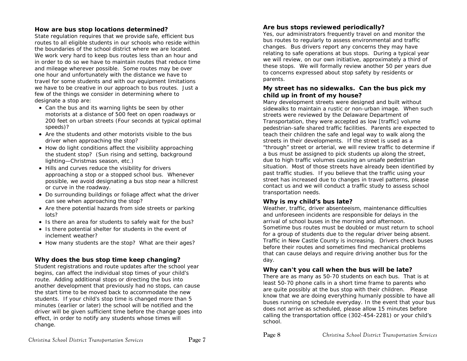## **How are bus stop locations determined?**

State regulation requires that we provide safe, efficient bus routes to all eligible students in our schools who reside within the boundaries of the school district where we are located. We work very hard to keep bus routes less than an hour and in order to do so we have to maintain routes that reduce time and mileage wherever possible. Some routes may be over one hour and unfortunately with the distance we have to travel for some students and with our equipment limitations we have to be creative in our approach to bus routes. Just a few of the things we consider in determining where to designate a stop are:

- Can the bus and its warning lights be seen by other motorists at a distance of 500 feet on open roadways or 200 feet on urban streets (Four seconds at typical optimal speeds)?
- Are the students and other motorists visible to the bus driver when approaching the stop?
- How do light conditions affect the visibility approaching the student stop? (Sun rising and setting, background lighting—Christmas season, etc.)
- Hills and curves reduce the visibility for drivers approaching a stop or a stopped school bus. Whenever possible, we avoid designating a bus stop near a hillcrest or curve in the roadway.
- Do surrounding buildings or foliage affect what the driver can see when approaching the stop?
- Are there potential hazards from side streets or parking lots?
- Is there an area for students to safely wait for the bus?
- **Is there potential shelter for students in the event of** inclement weather?
- How many students are the stop? What are their ages?

## **Why does the bus stop time keep changing?**

Student registrations and route updates after the school year begins, can affect the individual stop times of your child's route. Adding additional stops or directing the bus into another development that previously had no stops, can cause the start time to be moved back to accommodate the new students. If your child's stop time is changed more than 5 minutes (earlier or later) the school will be notified and the driver will be given sufficient time before the change goes into effect, in order to notify any students whose times will change.

## **Are bus stops reviewed periodically?**

Yes, our administrators frequently travel on and monitor the bus routes to regularly to assess environmental and traffic changes. Bus drivers report any concerns they may have relating to safe operations at bus stops. During a typical year we will review, on our own initiative, approximately a third of these stops. We will formally review another 50 per years due to concerns expressed about stop safety by residents or parents.

#### **My street has no sidewalks. Can the bus pick my child up in front of my house?**

Many development streets were designed and built without sidewalks to maintain a rustic or non-urban image. When such streets were reviewed by the Delaware Department of Transportation, they were accepted as low [traffic] volume pedestrian-safe shared traffic facilities. Parents are expected to teach their children the safe and legal way to walk along the streets in their developments. If the street is used as a "through" street or arterial, we will review traffic to determine if a bus must be assigned to pick students up along the street, due to high traffic volumes causing an unsafe pedestrian situation. Most of those streets have already been identified by past traffic studies. If you believe that the traffic using your street has increased due to changes in travel patterns, please contact us and we will conduct a traffic study to assess school transportation needs.

## **Why is my child's bus late?**

Weather, traffic, driver absenteeism, maintenance difficulties and unforeseen incidents are responsible for delays in the arrival of school buses in the morning and afternoon. Sometime bus routes must be doubled or must return to school for a group of students due to the regular driver being absent. Traffic in New Castle County is increasing. Drivers check buses before their routes and sometimes find mechanical problems that can cause delays and require driving another bus for the day.

## **Why can't you call when the bus will be late?**

There are as many as 50-70 students on each bus. That is at least 50-70 phone calls in a short time frame to parents who are quite possibly at the bus stop with their children. Please know that we are doing everything humanly possible to have all buses running on schedule everyday. In the event that your bus does not arrive as scheduled, please allow 15 minutes before calling the transportation office (302-454-2281) or your child's school.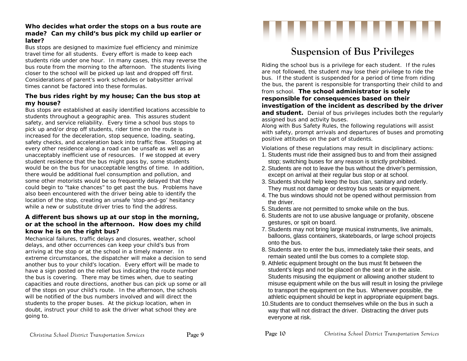## **Who decides what order the stops on a bus route are made? Can my child's bus pick my child up earlier or later?**

Bus stops are designed to maximize fuel efficiency and minimize travel time for all students. Every effort is made to keep each students ride under one hour. In many cases, this may reverse the bus route from the morning to the afternoon. The students living closer to the school will be picked up last and dropped off first. Considerations of parent's work schedules or babysitter arrival times cannot be factored into these formulas.

## **The bus rides right by my house; Can the bus stop at my house?**

Bus stops are established at easily identified locations accessible to students throughout a geographic area. This assures student safety, and service reliability. Every time a school bus stops to pick up and/or drop off students, rider time on the route is increased for the deceleration, stop sequence, loading, seating, safety checks, and acceleration back into traffic flow. Stopping at every other residence along a road can be unsafe as well as an unacceptably inefficient use of resources. If we stopped at every student residence that the bus might pass by, some students would be on the bus for unacceptable lengths of time. In addition, there would be additional fuel consumption and pollution, and some other motorists would be so frequently delayed that they could begin to "take chances" to get past the bus. Problems have also been encountered with the driver being able to identify the location of the stop, creating an unsafe 'stop-and-go' hesitancy while a new or substitute driver tries to find the address.

## **A different bus shows up at our stop in the morning, or at the school in the afternoon. How does my child know he is on the right bus?**

Mechanical failures, traffic delays and closures, weather, school delays, and other occurrences can keep your child's bus from arriving at the stop or at the school in a timely manner. In extreme circumstances, the dispatcher will make a decision to send another bus to your child's location. Every effort will be made to have a sign posted on the relief bus indicating the route number the bus is covering. There may be times when, due to seating capacities and route directions, another bus can pick up some or all of the stops on your child's route. In the afternoon, the schools will be notified of the bus numbers involved and will direct the students to the proper buses. At the pickup location, when in doubt, instruct your child to ask the driver what school they are going to.

# ,,,,,,,,,,

# **Suspension of Bus Privileges**

Riding the school bus is a privilege for each student. If the rules are not followed, the student may lose their privilege to ride the bus. If the student is suspended for a period of time from riding the bus, the parent is responsible for transporting their child to and

#### from school. *The school administrator is solely responsible for consequences based on their*

# *investigation of the incident as described by the driver*

and student. Denial of bus privileges includes both the regularly assigned bus and activity buses.

Along with Bus Safety Rules, the following regulations will assist with safety, prompt arrivals and departures of buses and promoting positive attitudes on the part of students.

*Violations of these regulations may result in disciplinary actions:* 

- 1. Students must ride their assigned bus to and from their assigned stop; switching buses for any reason is strictly prohibited.
- 2. Students are not to leave the bus without the driver's permission, except on arrival at their regular bus stop or at school.
- 3. Students should help keep the bus clan, sanitary and orderly. They must not damage or destroy bus seats or equipment.
- 4. The bus windows should not be opened without permission from the driver.
- 5. Students are not permitted to smoke while on the bus.
- 6. Students are not to use abusive language or profanity, obscene gestures, or spit on board.
- 7. Students may not bring large musical instruments, live animals, balloons, glass containers, skateboards, or large school projects onto the bus.
- 8. Students are to enter the bus, immediately take their seats, and remain seated until the bus comes to a complete stop.
- 9. Athletic equipment brought on the bus must fit between the student's legs and not be placed on the seat or in the aisle. Students misusing the equipment or allowing another student to misuse equipment while on the bus will result in losing the privilege to transport the equipment on the bus. Whenever possible, the athletic equipment should be kept in appropriate equipment bags.
- 10.Students are to conduct themselves while on the bus in such a way that will not distract the driver. Distracting the driver puts everyone at risk.

**Page 10**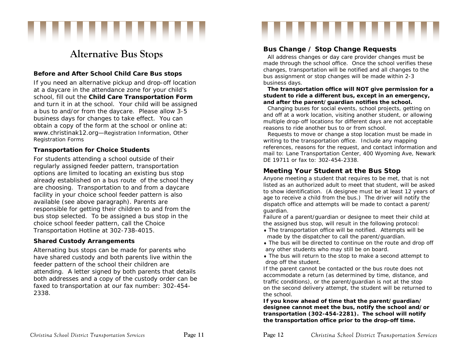

# **Alternative Bus Stops**

# **Before and After School Child Care Bus stops**

If you need an alternative pickup and drop-off location at a daycare in the attendance zone for your child's school, fill out the *Child Care Transportation Form* and turn it in at the school. Your child will be assigned a bus to and/or from the daycare. Please allow 3-5 business days for changes to take effect. You can obtain a copy of the form at the school or online at: www.christinak12.org—*Registration Information, Other Registration Forms* 

## **Transportation for Choice Students**

For students attending a school outside of their regularly assigned feeder pattern, transportation options are limited to locating an existing bus stop already established on a bus route of the school they are choosing. Transportation to and from a daycare facility in your choice school feeder pattern is also available (*see above paragraph*). Parents are responsible for getting their children to and from the bus stop selected. To be assigned a bus stop in the choice school feeder pattern, call the Choice Transportation Hotline at 302-738-4015.

## **Shared Custody Arrangements**

Alternating bus stops can be made for parents who have shared custody and both parents live within the feeder pattern of the school their children are attending. A letter signed by both parents that details both addresses and a copy of the custody order can be faxed to transportation at our fax number: 302-454- 2338.

# **Bus Change / Stop Change Requests**

All address changes or day care provider changes must be made through the school office. Once the school verifies these changes, transportation will be notified and all changes to the bus assignment or stop changes will be made within 2-3 business days.

,,,,,,,,

#### **The transportation office will NOT give permission for a student to ride a different bus, except in an emergency, and after the parent/guardian notifies the school.**

Changing buses for social events, school projects, getting on and off at a work location, visiting another student, or allowing multiple drop-off locations for different days are not acceptable reasons to ride another bus to or from school.

Requests to move or change a stop location must be made in writing to the transportation office. Include any mapping references, reasons for the request, and contact information and mail to: Lane Transportation Center, 400 Wyoming Ave, Newark DE 19711 or fax to: 302-454-2338.

# **Meeting Your Student at the Bus Stop**

Anyone meeting a student that requires to be met, that is not listed as an authorized adult to meet that student, will be asked to show identification. (A designee must be at least 12 years of age to receive a child from the bus.) The driver will notify the dispatch office and attempts will be made to contact a parent/ guardian.

Failure of a parent/guardian or designee to meet their child at the assigned bus stop, will result in the following protocol:

- The transportation office will be notified. Attempts will be made by the dispatcher to call the parent/guardian.
- The bus will be directed to continue on the route and drop off any other students who may still be on board.

 The bus will return to the stop to make a *second* attempt to drop off the student.

If the parent cannot be contacted or the bus route does not accommodate a return (as determined by time, distance, and traffic conditions), or the parent/guardian is not at the stop on the second delivery attempt, the student will be returned to the school.

*If you know ahead of time that the parent/guardian/ designee cannot meet the bus, notify the school and/or transportation (302-454-2281). The school will notify the transportation office prior to the drop-off time.*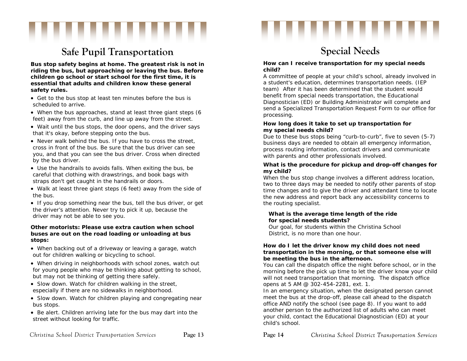

# **Safe Pupil Transportation**

**Bus stop safety begins at home. The greatest risk is not in riding the bus, but approaching or leaving the bus. Before children go school or start school for the first time, it is essential that adults and children know these general safety rules.**

- Get to the bus stop at least ten minutes before the bus is scheduled to arrive.
- When the bus approaches, stand at least three giant steps (6 feet) away from the curb, and line up away from the street.
- Wait until the bus stops, the door opens, and the driver says that it's okay, before stepping onto the bus.
- Never walk behind the bus. If you have to cross the street, cross in front of the bus. Be sure that the bus driver can see you, and that you can see the bus driver. Cross when directed by the bus driver.
- Use the handrails to avoids falls. When exiting the bus, be careful that clothing with drawstrings, and book bags with straps don't get caught in the handrails or doors.
- Walk at least three giant steps (6 feet) away from the side of the bus.
- If you drop something near the bus, tell the bus driver, or get the driver's attention. Never try to pick it up, because the driver may not be able to see you.

#### **Other motorists: Please use extra caution when school buses are out on the road loading or unloading at bus stops:**

- When backing out of a driveway or leaving a garage, watch out for children walking or bicycling to school.
- When driving in neighborhoods with school zones, watch out for young people who may be thinking about getting to school, but may not be thinking of getting there safely.
- Slow down. Watch for children walking in the street, especially if there are no sidewalks in neighborhood.
- Slow down. Watch for children playing and congregating near bus stops.
- Be alert. Children arriving late for the bus may dart into the street without looking for traffic.

# **Special Needs**

,,,,,,,

#### **How can I receive transportation for my special needs child?**

A committee of people at your child's school, already involved in a student's education, determines transportation needs. (IEP team) After it has been determined that the student would benefit from special needs transportation, the Educational Diagnostician (ED) or Building Administrator will complete and send a Specialized Transportation Request Form to our office for processing.

#### **How long does it take to set up transportation for my special needs child?**

Due to these bus stops being "curb-to-curb", five to seven (5-7) business days are needed to obtain all emergency information, process routing information, contact drivers and communicate with parents and other professionals involved.

#### **What is the procedure for pickup and drop-off changes for my child?**

When the bus stop change involves a different address location, two to three days may be needed to notify other parents of stop time changes and to give the driver and attendant time to locate the new address and report back any accessibility concerns to the routing specialist.

#### **What is the average time length of the ride for special needs students?**

Our goal, for students within the Christina School District, is no more than one hour.

#### **How do I let the driver know my child does not need transportation in the morning, or that someone else will be meeting the bus in the afternoon.**

You can call the dispatch office the night before school, or in the morning before the pick up time to let the driver know your child will not need transportation that morning. The dispatch office opens at 5 AM @ 302-454-2281, ext. 1.

In an emergency situation, when the designated person cannot meet the bus at the drop-off, please call ahead to the dispatch office AND notify the school (*see page 8*). If you want to add another person to the authorized list of adults who can meet your child, contact the Educational Diagnostician (ED) at your child's school.